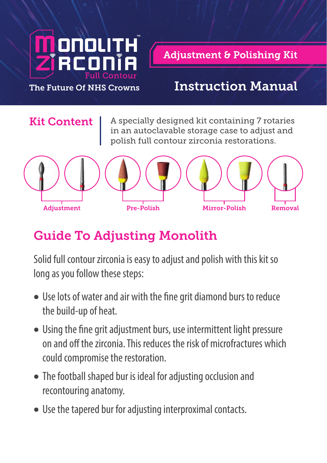

**Adjustment & Polishing Kit** 

#### The Future Of NHS Crowns Instruction Manual

**Kit Content**  $\vert$  A specially designed kit containing 7 rotaries in an autoclavable storage case to adjust and polish full contour zirconia restorations.



## Guide To Adjusting Monolith

Solid full contour zirconia is easy to adjust and polish with this kit so long as you follow these steps:

- Use lots of water and air with the fine grit diamond burs to reduce the build-up of heat.
- Using the fine grit adjustment burs, use intermittent light pressure on and off the zirconia. This reduces the risk of microfractures which could compromise the restoration.
- The football shaped bur is ideal for adjusting occlusion and recontouring anatomy.
- Use the tapered bur for adjusting interproximal contacts.